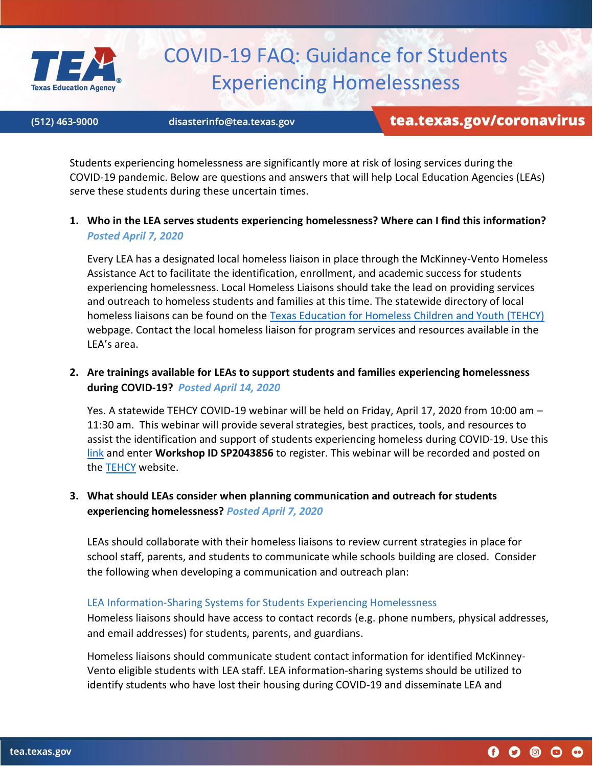

# COVID-19 FAQ: Guidance for Students Experiencing Homelessness

(512) 463-9000

disasterinfo@tea.texas.gov

## tea.texas.gov/coronavirus

Students experiencing homelessness are significantly more at risk of losing services during the COVID-19 pandemic. Below are questions and answers that will help Local Education Agencies (LEAs) serve these students during these uncertain times.

## **1. Who in the LEA serves students experiencing homelessness? Where can I find this information?** *Posted April 7, 2020*

Every LEA has a designated local homeless liaison in place through the McKinney-Vento Homeless Assistance Act to facilitate the identification, enrollment, and academic success for students experiencing homelessness. Local Homeless Liaisons should take the lead on providing services and outreach to homeless students and families at this time. The statewide directory of local homeless liaisons can be found on the [Texas Education for Homeless Children and Youth \(TEHCY\)](https://www.theotx.org/liaison-directory/) webpage. Contact the local homeless liaison for program services and resources available in the LEA's area.

#### **2. Are trainings available for LEAs to support students and families experiencing homelessness during COVID-19?** *Posted April 14, 2020*

Yes. A statewide TEHCY COVID-19 webinar will be held on Friday, April 17, 2020 from 10:00 am – 11:30 am. This webinar will provide several strategies, best practices, tools, and resources to assist the identification and support of students experiencing homeless during COVID-19. Use this [link](https://ci.esc13.net/login.html) and enter **Workshop ID SP2043856** to register. This webinar will be recorded and posted on the **TEHCY** website.

#### **3. What should LEAs consider when planning communication and outreach for students experiencing homelessness?** *Posted April 7, 2020*

LEAs should collaborate with their homeless liaisons to review current strategies in place for school staff, parents, and students to communicate while schools building are closed. Consider the following when developing a communication and outreach plan:

#### LEA Information-Sharing Systems for Students Experiencing Homelessness

Homeless liaisons should have access to contact records (e.g. phone numbers, physical addresses, and email addresses) for students, parents, and guardians.

Homeless liaisons should communicate student contact information for identified McKinney-Vento eligible students with LEA staff. LEA information-sharing systems should be utilized to identify students who have lost their housing during COVID-19 and disseminate LEA and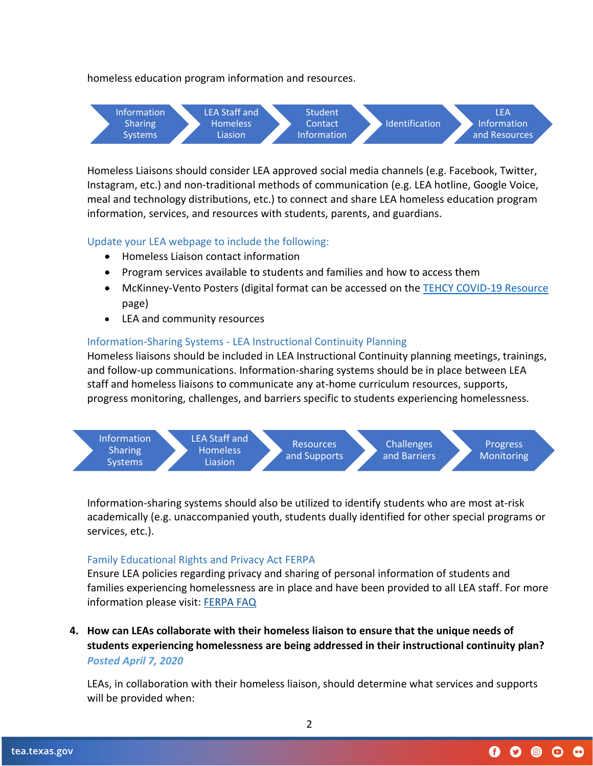homeless education program information and resources.



Homeless Liaisons should consider LEA approved social media channels (e.g. Facebook, Twitter, Instagram, etc.) and non-traditional methods of communication (e.g. LEA hotline, Google Voice, meal and technology distributions, etc.) to connect and share LEA homeless education program information, services, and resources with students, parents, and guardians.

#### Update your LEA webpage to include the following:

- Homeless Liaison contact information
- Program services available to students and families and how to access them
- McKinney-Vento Posters (digital format can be accessed on the [TEHCY COVID-19 Resource](https://www.theotx.org/covid-19/) page)
- LEA and community resources

#### Information-Sharing Systems - LEA Instructional Continuity Planning

Homeless liaisons should be included in LEA Instructional Continuity planning meetings, trainings, and follow-up communications. Information-sharing systems should be in place between LEA staff and homeless liaisons to communicate any at-home curriculum resources, supports, progress monitoring, challenges, and barriers specific to students experiencing homelessness.



Information-sharing systems should also be utilized to identify students who are most at-risk academically (e.g. unaccompanied youth, students dually identified for other special programs or services, etc.).

#### Family Educational Rights and Privacy Act FERPA

Ensure LEA policies regarding privacy and sharing of personal information of students and families experiencing homelessness are in place and have been provided to all LEA staff. For more information please visit: [FERPA FAQ](https://www2.ed.gov/policy/gen/guid/fpco/ferpa/index.html)

**4. How can LEAs collaborate with their homeless liaison to ensure that the unique needs of students experiencing homelessness are being addressed in their instructional continuity plan?**  *Posted April 7, 2020*

LEAs, in collaboration with their homeless liaison, should determine what services and supports will be provided when: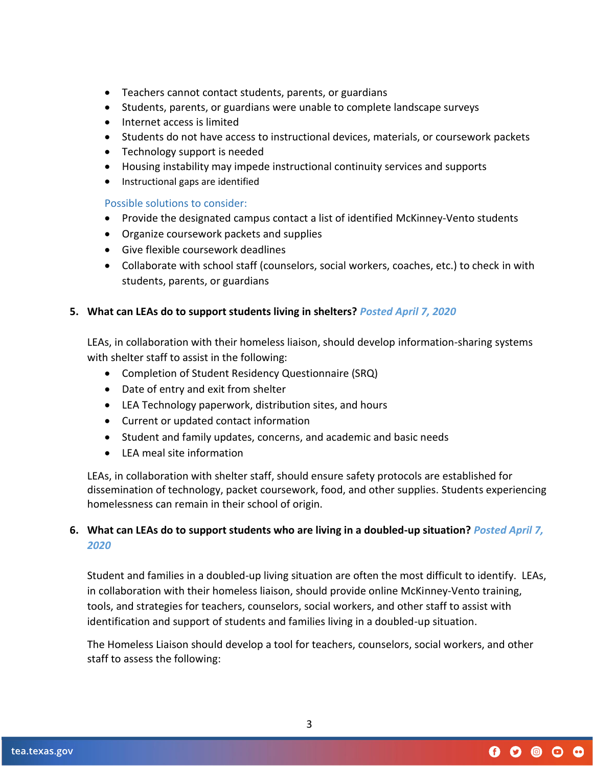- Teachers cannot contact students, parents, or guardians
- Students, parents, or guardians were unable to complete landscape surveys
- Internet access is limited
- Students do not have access to instructional devices, materials, or coursework packets
- Technology support is needed
- Housing instability may impede instructional continuity services and supports
- Instructional gaps are identified

Possible solutions to consider:

- Provide the designated campus contact a list of identified McKinney-Vento students
- Organize coursework packets and supplies
- Give flexible coursework deadlines
- Collaborate with school staff (counselors, social workers, coaches, etc.) to check in with students, parents, or guardians

#### **5. What can LEAs do to support students living in shelters?** *Posted April 7, 2020*

LEAs, in collaboration with their homeless liaison, should develop information-sharing systems with shelter staff to assist in the following:

- Completion of Student Residency Questionnaire (SRQ)
- Date of entry and exit from shelter
- LEA Technology paperwork, distribution sites, and hours
- Current or updated contact information
- Student and family updates, concerns, and academic and basic needs
- LEA meal site information

LEAs, in collaboration with shelter staff, should ensure safety protocols are established for dissemination of technology, packet coursework, food, and other supplies. Students experiencing homelessness can remain in their school of origin.

## **6. What can LEAs do to support students who are living in a doubled-up situation?** *Posted April 7, 2020*

Student and families in a doubled-up living situation are often the most difficult to identify. LEAs, in collaboration with their homeless liaison, should provide online McKinney-Vento training, tools, and strategies for teachers, counselors, social workers, and other staff to assist with identification and support of students and families living in a doubled-up situation.

The Homeless Liaison should develop a tool for teachers, counselors, social workers, and other staff to assess the following:

 $0 0 0 0 0$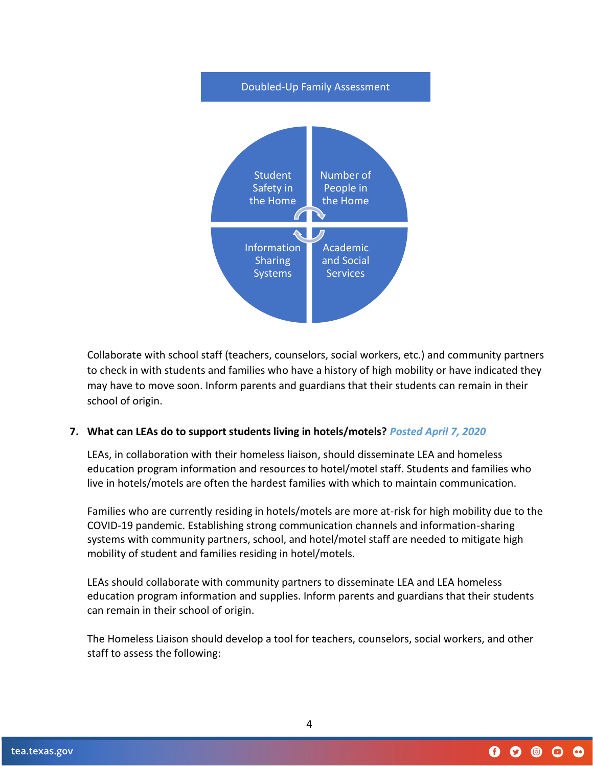

Collaborate with school staff (teachers, counselors, social workers, etc.) and community partners to check in with students and families who have a history of high mobility or have indicated they may have to move soon. Inform parents and guardians that their students can remain in their school of origin.

#### **7. What can LEAs do to support students living in hotels/motels?** *Posted April 7, 2020*

LEAs, in collaboration with their homeless liaison, should disseminate LEA and homeless education program information and resources to hotel/motel staff. Students and families who live in hotels/motels are often the hardest families with which to maintain communication.

Families who are currently residing in hotels/motels are more at-risk for high mobility due to the COVID-19 pandemic. Establishing strong communication channels and information-sharing systems with community partners, school, and hotel/motel staff are needed to mitigate high mobility of student and families residing in hotel/motels.

LEAs should collaborate with community partners to disseminate LEA and LEA homeless education program information and supplies. Inform parents and guardians that their students can remain in their school of origin.

The Homeless Liaison should develop a tool for teachers, counselors, social workers, and other staff to assess the following:

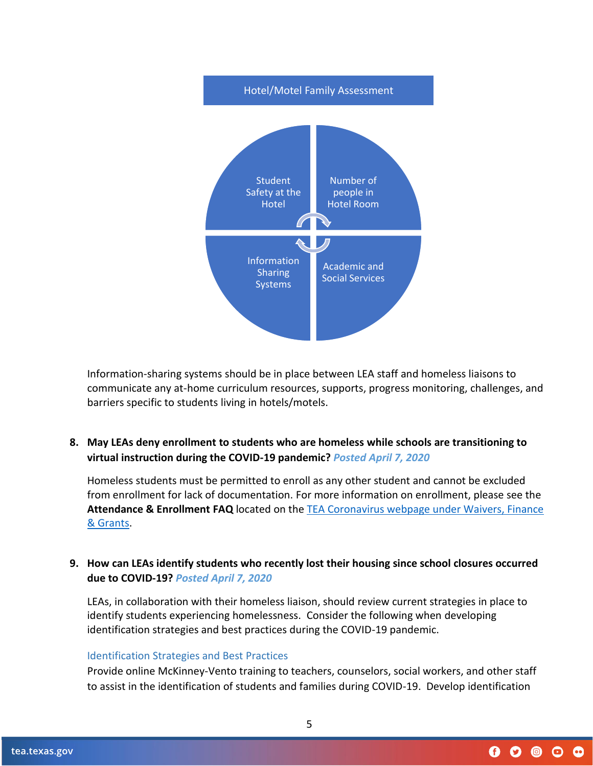

Information-sharing systems should be in place between LEA staff and homeless liaisons to communicate any at-home curriculum resources, supports, progress monitoring, challenges, and barriers specific to students living in hotels/motels.

## **8. May LEAs deny enrollment to students who are homeless while schools are transitioning to virtual instruction during the COVID-19 pandemic?** *Posted April 7, 2020*

Homeless students must be permitted to enroll as any other student and cannot be excluded from enrollment for lack of documentation. For more information on enrollment, please see the **Attendance & Enrollment FAQ** located on the [TEA Coronavirus webpage under Waivers, Finance](https://tea.texas.gov/texas-schools/health-safety-discipline/covid/covid-19-support-district-waivers-finance-grants) [& Grants.](https://tea.texas.gov/texas-schools/health-safety-discipline/covid/covid-19-support-district-waivers-finance-grants)

## **9. How can LEAs identify students who recently lost their housing since school closures occurred due to COVID-19?** *Posted April 7, 2020*

LEAs, in collaboration with their homeless liaison, should review current strategies in place to identify students experiencing homelessness. Consider the following when developing identification strategies and best practices during the COVID-19 pandemic.

#### Identification Strategies and Best Practices

Provide online McKinney-Vento training to teachers, counselors, social workers, and other staff to assist in the identification of students and families during COVID-19. Develop identification

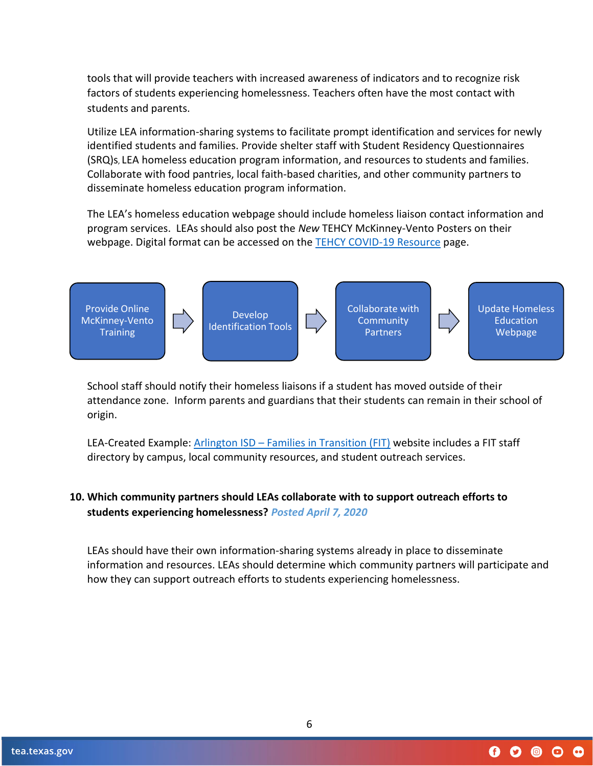tools that will provide teachers with increased awareness of indicators and to recognize risk factors of students experiencing homelessness. Teachers often have the most contact with students and parents.

Utilize LEA information-sharing systems to facilitate prompt identification and services for newly identified students and families. Provide shelter staff with Student Residency Questionnaires (SRQ)s, LEA homeless education program information, and resources to students and families. Collaborate with food pantries, local faith-based charities, and other community partners to disseminate homeless education program information.

The LEA's homeless education webpage should include homeless liaison contact information and program services. LEAs should also post the *New* TEHCY McKinney-Vento Posters on their webpage. Digital format can be accessed on the [TEHCY COVID-19 Resource](https://www.theotx.org/covid-19/) page.



School staff should notify their homeless liaisons if a student has moved outside of their attendance zone. Inform parents and guardians that their students can remain in their school of origin.

LEA-Created Example: Arlington ISD – [Families in Transition \(FIT\)](https://www.aisd.net/district/departments/academic-services/transformational-learning/social-and-emotional-learning/student-outreach-services/families-in-transition/) website includes a FIT staff directory by campus, local community resources, and student outreach services.

#### **10. Which community partners should LEAs collaborate with to support outreach efforts to students experiencing homelessness?** *Posted April 7, 2020*

LEAs should have their own information-sharing systems already in place to disseminate information and resources. LEAs should determine which community partners will participate and how they can support outreach efforts to students experiencing homelessness.

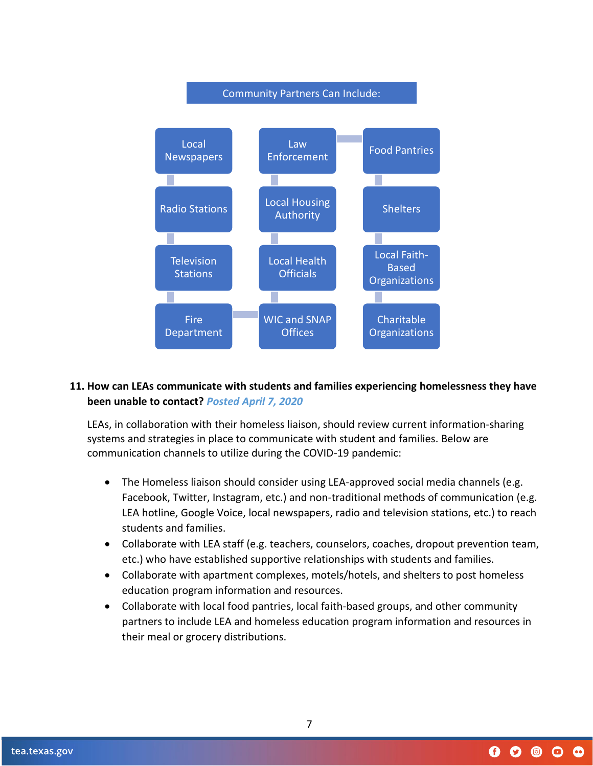

#### **11. How can LEAs communicate with students and families experiencing homelessness they have been unable to contact?** *Posted April 7, 2020*

LEAs, in collaboration with their homeless liaison, should review current information-sharing systems and strategies in place to communicate with student and families. Below are communication channels to utilize during the COVID-19 pandemic:

- The Homeless liaison should consider using LEA-approved social media channels (e.g. Facebook, Twitter, Instagram, etc.) and non-traditional methods of communication (e.g. LEA hotline, Google Voice, local newspapers, radio and television stations, etc.) to reach students and families.
- Collaborate with LEA staff (e.g. teachers, counselors, coaches, dropout prevention team, etc.) who have established supportive relationships with students and families.
- Collaborate with apartment complexes, motels/hotels, and shelters to post homeless education program information and resources.
- Collaborate with local food pantries, local faith-based groups, and other community partners to include LEA and homeless education program information and resources in their meal or grocery distributions.

7

# $0$   $0$   $0$   $0$   $0$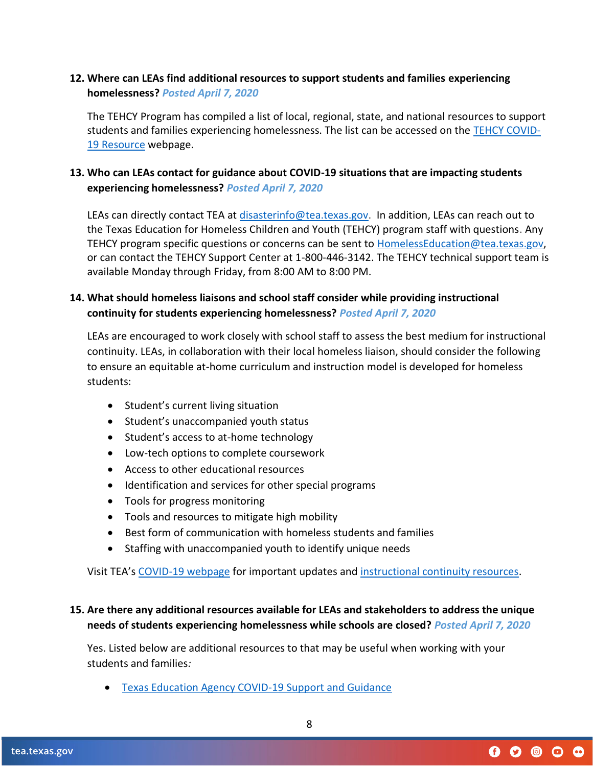## **12. Where can LEAs find additional resources to support students and families experiencing homelessness?** *Posted April 7, 2020*

The TEHCY Program has compiled a list of local, regional, state, and national resources to support students and families experiencing homelessness. The list can be accessed on the **TEHCY COVID-**[19 Resource](https://www.theotx.org/covid-19/) webpage.

## **13. Who can LEAs contact for guidance about COVID-19 situations that are impacting students experiencing homelessness?** *Posted April 7, 2020*

LEAs can directly contact TEA at [disasterinfo@tea.texas.gov.](mailto:disasterinfo@tea.texas.gov) In addition, LEAs can reach out to the Texas Education for Homeless Children and Youth (TEHCY) program staff with questions. Any TEHCY program specific questions or concerns can be sent to **HomelessEducation@tea.texas.gov**, or can contact the TEHCY Support Center at 1-800-446-3142. The TEHCY technical support team is available Monday through Friday, from 8:00 AM to 8:00 PM.

## **14. What should homeless liaisons and school staff consider while providing instructional continuity for students experiencing homelessness?** *Posted April 7, 2020*

LEAs are encouraged to work closely with school staff to assess the best medium for instructional continuity. LEAs, in collaboration with their local homeless liaison, should consider the following to ensure an equitable at-home curriculum and instruction model is developed for homeless students:

- Student's current living situation
- Student's unaccompanied youth status
- Student's access to at-home technology
- Low-tech options to complete coursework
- Access to other educational resources
- Identification and services for other special programs
- Tools for progress monitoring
- Tools and resources to mitigate high mobility
- Best form of communication with homeless students and families
- Staffing with unaccompanied youth to identify unique needs

Visit TEA's [COVID-19 webpage](https://tea.texas.gov/texas-schools/health-safety-discipline/coronavirus-covid-19-support-and-guidance) for important updates and [instructional continuity resources.](https://tea.texas.gov/texas-schools/health-safety-discipline/instructional-continuity-planning)

#### **15. Are there any additional resources available for LEAs and stakeholders to address the unique needs of students experiencing homelessness while schools are closed?** *Posted April 7, 2020*

Yes. Listed below are additional resources to that may be useful when working with your students and families*:*

• [Texas Education Agency COVID-19 Support and Guidance](https://tea.texas.gov/texas-schools/health-safety-discipline/coronavirus-covid-19-support-and-guidance)

 $0 0 0 0 0$ 

tea.texas.gov